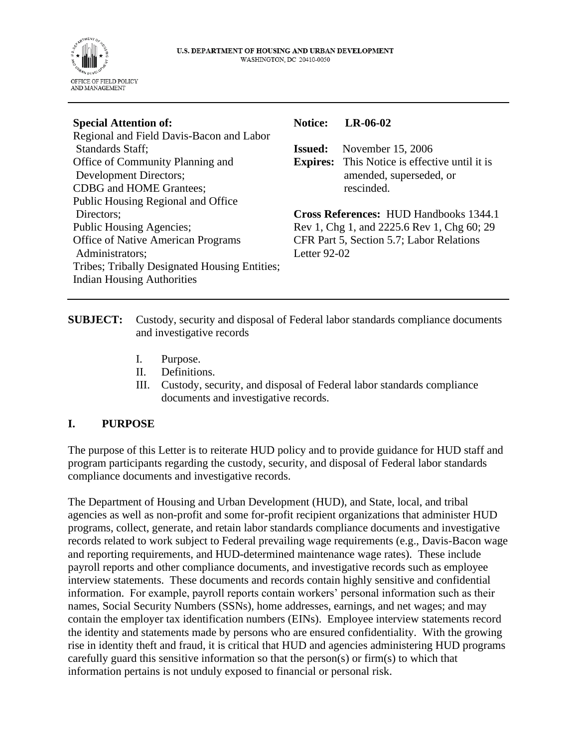

| <b>Special Attention of:</b>                  | <b>Notice:</b>                                | LR-06-02                                             |
|-----------------------------------------------|-----------------------------------------------|------------------------------------------------------|
| Regional and Field Davis-Bacon and Labor      |                                               |                                                      |
| Standards Staff;                              | <b>Issued:</b>                                | November 15, 2006                                    |
| Office of Community Planning and              |                                               | <b>Expires:</b> This Notice is effective until it is |
| Development Directors;                        |                                               | amended, superseded, or                              |
| CDBG and HOME Grantees;                       |                                               | rescinded.                                           |
| Public Housing Regional and Office            |                                               |                                                      |
| Directors;                                    | <b>Cross References: HUD Handbooks 1344.1</b> |                                                      |
| Public Housing Agencies;                      | Rev 1, Chg 1, and 2225.6 Rev 1, Chg 60; 29    |                                                      |
| <b>Office of Native American Programs</b>     | CFR Part 5, Section 5.7; Labor Relations      |                                                      |
| Administrators;                               | Letter $92-02$                                |                                                      |
| Tribes; Tribally Designated Housing Entities; |                                               |                                                      |
| <b>Indian Housing Authorities</b>             |                                               |                                                      |
|                                               |                                               |                                                      |

**SUBJECT:** Custody, security and disposal of Federal labor standards compliance documents and investigative records

- I. Purpose.
- II. Definitions.
- III. Custody, security, and disposal of Federal labor standards compliance documents and investigative records.

## **I. PURPOSE**

The purpose of this Letter is to reiterate HUD policy and to provide guidance for HUD staff and program participants regarding the custody, security, and disposal of Federal labor standards compliance documents and investigative records.

The Department of Housing and Urban Development (HUD), and State, local, and tribal agencies as well as non-profit and some for-profit recipient organizations that administer HUD programs, collect, generate, and retain labor standards compliance documents and investigative records related to work subject to Federal prevailing wage requirements (e.g., Davis-Bacon wage and reporting requirements, and HUD-determined maintenance wage rates). These include payroll reports and other compliance documents, and investigative records such as employee interview statements. These documents and records contain highly sensitive and confidential information. For example, payroll reports contain workers' personal information such as their names, Social Security Numbers (SSNs), home addresses, earnings, and net wages; and may contain the employer tax identification numbers (EINs). Employee interview statements record the identity and statements made by persons who are ensured confidentiality. With the growing rise in identity theft and fraud, it is critical that HUD and agencies administering HUD programs carefully guard this sensitive information so that the person(s) or firm(s) to which that information pertains is not unduly exposed to financial or personal risk.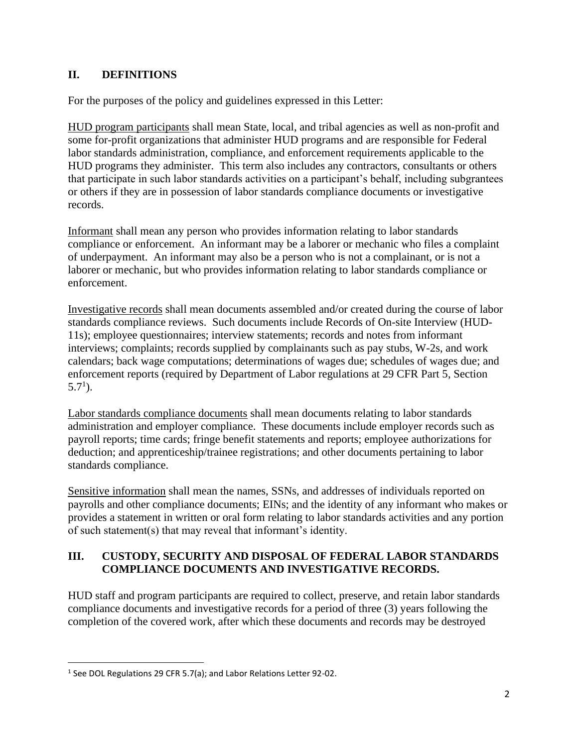## **II. DEFINITIONS**

For the purposes of the policy and guidelines expressed in this Letter:

HUD program participants shall mean State, local, and tribal agencies as well as non-profit and some for-profit organizations that administer HUD programs and are responsible for Federal labor standards administration, compliance, and enforcement requirements applicable to the HUD programs they administer. This term also includes any contractors, consultants or others that participate in such labor standards activities on a participant's behalf, including subgrantees or others if they are in possession of labor standards compliance documents or investigative records.

Informant shall mean any person who provides information relating to labor standards compliance or enforcement. An informant may be a laborer or mechanic who files a complaint of underpayment. An informant may also be a person who is not a complainant, or is not a laborer or mechanic, but who provides information relating to labor standards compliance or enforcement.

Investigative records shall mean documents assembled and/or created during the course of labor standards compliance reviews. Such documents include Records of On-site Interview (HUD-11s); employee questionnaires; interview statements; records and notes from informant interviews; complaints; records supplied by complainants such as pay stubs, W-2s, and work calendars; back wage computations; determinations of wages due; schedules of wages due; and enforcement reports (required by Department of Labor regulations at 29 CFR Part 5, Section  $5.7<sup>1</sup>$ ).

Labor standards compliance documents shall mean documents relating to labor standards administration and employer compliance. These documents include employer records such as payroll reports; time cards; fringe benefit statements and reports; employee authorizations for deduction; and apprenticeship/trainee registrations; and other documents pertaining to labor standards compliance.

Sensitive information shall mean the names, SSNs, and addresses of individuals reported on payrolls and other compliance documents; EINs; and the identity of any informant who makes or provides a statement in written or oral form relating to labor standards activities and any portion of such statement(s) that may reveal that informant's identity.

## **III. CUSTODY, SECURITY AND DISPOSAL OF FEDERAL LABOR STANDARDS COMPLIANCE DOCUMENTS AND INVESTIGATIVE RECORDS.**

HUD staff and program participants are required to collect, preserve, and retain labor standards compliance documents and investigative records for a period of three (3) years following the completion of the covered work, after which these documents and records may be destroyed

<sup>&</sup>lt;sup>1</sup> See DOL Regulations 29 CFR 5.7(a); and Labor Relations Letter 92-02.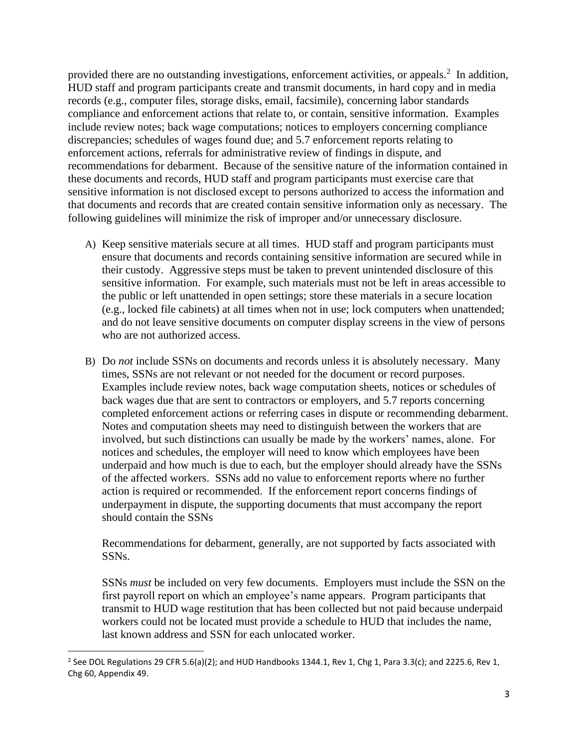provided there are no outstanding investigations, enforcement activities, or appeals. $<sup>2</sup>$  In addition,</sup> HUD staff and program participants create and transmit documents, in hard copy and in media records (e.g., computer files, storage disks, email, facsimile), concerning labor standards compliance and enforcement actions that relate to, or contain, sensitive information. Examples include review notes; back wage computations; notices to employers concerning compliance discrepancies; schedules of wages found due; and 5.7 enforcement reports relating to enforcement actions, referrals for administrative review of findings in dispute, and recommendations for debarment. Because of the sensitive nature of the information contained in these documents and records, HUD staff and program participants must exercise care that sensitive information is not disclosed except to persons authorized to access the information and that documents and records that are created contain sensitive information only as necessary. The following guidelines will minimize the risk of improper and/or unnecessary disclosure.

- A) Keep sensitive materials secure at all times. HUD staff and program participants must ensure that documents and records containing sensitive information are secured while in their custody. Aggressive steps must be taken to prevent unintended disclosure of this sensitive information. For example, such materials must not be left in areas accessible to the public or left unattended in open settings; store these materials in a secure location (e.g., locked file cabinets) at all times when not in use; lock computers when unattended; and do not leave sensitive documents on computer display screens in the view of persons who are not authorized access.
- B) Do *not* include SSNs on documents and records unless it is absolutely necessary. Many times, SSNs are not relevant or not needed for the document or record purposes. Examples include review notes, back wage computation sheets, notices or schedules of back wages due that are sent to contractors or employers, and 5.7 reports concerning completed enforcement actions or referring cases in dispute or recommending debarment. Notes and computation sheets may need to distinguish between the workers that are involved, but such distinctions can usually be made by the workers' names, alone. For notices and schedules, the employer will need to know which employees have been underpaid and how much is due to each, but the employer should already have the SSNs of the affected workers. SSNs add no value to enforcement reports where no further action is required or recommended. If the enforcement report concerns findings of underpayment in dispute, the supporting documents that must accompany the report should contain the SSNs

Recommendations for debarment, generally, are not supported by facts associated with SSNs.

SSNs *must* be included on very few documents. Employers must include the SSN on the first payroll report on which an employee's name appears. Program participants that transmit to HUD wage restitution that has been collected but not paid because underpaid workers could not be located must provide a schedule to HUD that includes the name, last known address and SSN for each unlocated worker.

<sup>&</sup>lt;sup>2</sup> See DOL Regulations 29 CFR 5.6(a)(2); and HUD Handbooks 1344.1, Rev 1, Chg 1, Para 3.3(c); and 2225.6, Rev 1, Chg 60, Appendix 49.